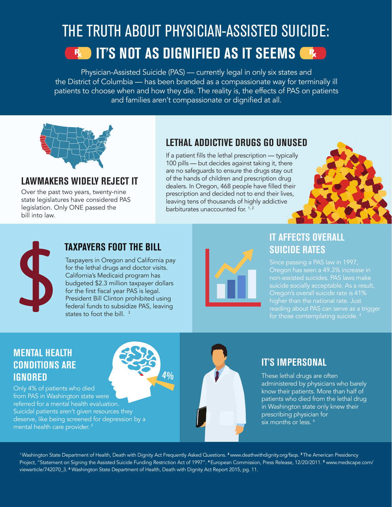## THE TRUTH ABOUT PHYSICIAN-ASSISTED SUICIDE: **IF AND IT'S NOT AS DIGNIFIED AS IT SEEMS ARE**

Physician-Assisted Suicide (PAS) — currently legal in only six states and the District of Columbia — has been branded as a compassionate way for terminally ill patients to choose when and how they die. The reality is, the effects of PAS on patients and families aren't compassionate or dignified at all.



#### **LAWMAKERS WIDELY REJECT IT**

Over the past two years, twenty-nine state legislatures have considered PAS legislation. Only ONE passed the bill into law.

#### **LETHAL ADDICTIVE DRUGS GO UNUSED**

If a patient fills the lethal prescription — typically 100 pills — but decides against taking it, there are no safeguards to ensure the drugs stay out of the hands of children and prescription drug dealers. In Oregon, 468 people have filled their prescription and decided not to end their lives, leaving tens of thousands of highly addictive barbiturates unaccounted for.<sup>1,2</sup>





#### **TAXPAYERS FOOT THE BILL**

Taxpayers in Oregon and California pay for the lethal drugs and doctor visits. California's Medicaid program has budgeted \$2.3 million taxpayer dollars for the first fiscal year PAS is legal. President Bill Clinton prohibited using federal funds to subsidize PAS, leaving states to foot the bill.<sup>3</sup>



#### **IT AFFECTS OVERALL SUICIDE RATES**

Oregon has seen a 49.3% increase in non-assisted suicides. PAS laws make suicide socially acceptable. As a result, Oregon's overall suicide rate is 41% higher than the national rate. Just reading about PAS can serve as a trigger for those contemplating suicide. 4

#### **MENTAL HEALTH CONDITIONS ARE IGNORED**

Only 4% of patients who died from PAS in Washington state were referred for a mental health evaluation. Suicidal patients aren't given resources they deserve, like being screened for depression by a mental health care provider. 5



#### **IT'S IMPERSONAL**

These lethal drugs are often administered by physicians who barely know their patients. More than half of patients who died from the lethal drug in Washington state only knew their prescribing physician for six months or less.<sup>6</sup>

<sup>1</sup> Washington State Department of Health, Death with Dignity Act Frequently Asked Questions. <sup>2</sup> www.deathwithdignity.org/faqs. <sup>3</sup> The American Presidency Project, "Statement on Signing the Assisted Suicide Funding Restriction Act of 1997". <sup>4</sup>European Commission, Press Release, 12/20/2011. 5 www.medscape.com/ viewarticle/742070\_3. 6 Washington State Department of Health, Death with Dignity Act Report 2015, pg. 11.

**4%**